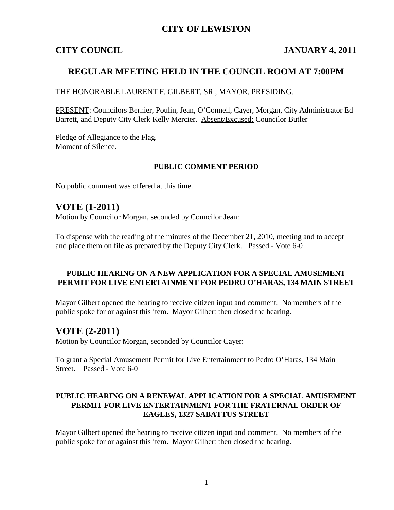## **CITY OF LEWISTON**

## **CITY COUNCIL JANUARY 4, 2011**

## **REGULAR MEETING HELD IN THE COUNCIL ROOM AT 7:00PM**

THE HONORABLE LAURENT F. GILBERT, SR., MAYOR, PRESIDING.

PRESENT: Councilors Bernier, Poulin, Jean, O'Connell, Cayer, Morgan, City Administrator Ed Barrett, and Deputy City Clerk Kelly Mercier. Absent/Excused: Councilor Butler

Pledge of Allegiance to the Flag. Moment of Silence.

#### **PUBLIC COMMENT PERIOD**

No public comment was offered at this time.

## **VOTE (1-2011)**

Motion by Councilor Morgan, seconded by Councilor Jean:

To dispense with the reading of the minutes of the December 21, 2010, meeting and to accept and place them on file as prepared by the Deputy City Clerk. Passed - Vote 6-0

#### **PUBLIC HEARING ON A NEW APPLICATION FOR A SPECIAL AMUSEMENT PERMIT FOR LIVE ENTERTAINMENT FOR PEDRO O'HARAS, 134 MAIN STREET**

Mayor Gilbert opened the hearing to receive citizen input and comment. No members of the public spoke for or against this item. Mayor Gilbert then closed the hearing.

## **VOTE (2-2011)**

Motion by Councilor Morgan, seconded by Councilor Cayer:

To grant a Special Amusement Permit for Live Entertainment to Pedro O'Haras, 134 Main Street. Passed - Vote 6-0

#### **PUBLIC HEARING ON A RENEWAL APPLICATION FOR A SPECIAL AMUSEMENT PERMIT FOR LIVE ENTERTAINMENT FOR THE FRATERNAL ORDER OF EAGLES, 1327 SABATTUS STREET**

Mayor Gilbert opened the hearing to receive citizen input and comment. No members of the public spoke for or against this item. Mayor Gilbert then closed the hearing.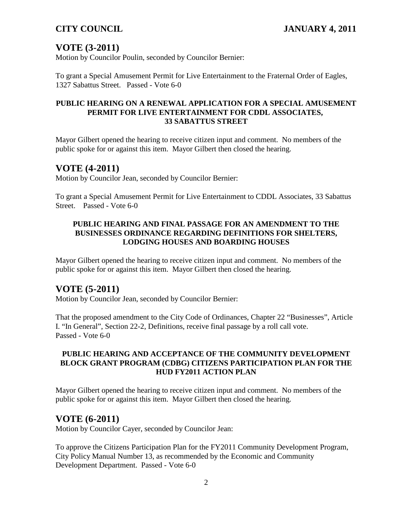# **VOTE (3-2011)**

Motion by Councilor Poulin, seconded by Councilor Bernier:

To grant a Special Amusement Permit for Live Entertainment to the Fraternal Order of Eagles, 1327 Sabattus Street. Passed - Vote 6-0

#### **PUBLIC HEARING ON A RENEWAL APPLICATION FOR A SPECIAL AMUSEMENT PERMIT FOR LIVE ENTERTAINMENT FOR CDDL ASSOCIATES, 33 SABATTUS STREET**

Mayor Gilbert opened the hearing to receive citizen input and comment. No members of the public spoke for or against this item. Mayor Gilbert then closed the hearing.

## **VOTE (4-2011)**

Motion by Councilor Jean, seconded by Councilor Bernier:

To grant a Special Amusement Permit for Live Entertainment to CDDL Associates, 33 Sabattus Street. Passed - Vote 6-0

#### **PUBLIC HEARING AND FINAL PASSAGE FOR AN AMENDMENT TO THE BUSINESSES ORDINANCE REGARDING DEFINITIONS FOR SHELTERS, LODGING HOUSES AND BOARDING HOUSES**

Mayor Gilbert opened the hearing to receive citizen input and comment. No members of the public spoke for or against this item. Mayor Gilbert then closed the hearing.

## **VOTE (5-2011)**

Motion by Councilor Jean, seconded by Councilor Bernier:

That the proposed amendment to the City Code of Ordinances, Chapter 22 "Businesses", Article I. "In General", Section 22-2, Definitions, receive final passage by a roll call vote. Passed - Vote 6-0

#### **PUBLIC HEARING AND ACCEPTANCE OF THE COMMUNITY DEVELOPMENT BLOCK GRANT PROGRAM (CDBG) CITIZENS PARTICIPATION PLAN FOR THE HUD FY2011 ACTION PLAN**

Mayor Gilbert opened the hearing to receive citizen input and comment. No members of the public spoke for or against this item. Mayor Gilbert then closed the hearing.

## **VOTE (6-2011)**

Motion by Councilor Cayer, seconded by Councilor Jean:

To approve the Citizens Participation Plan for the FY2011 Community Development Program, City Policy Manual Number 13, as recommended by the Economic and Community Development Department. Passed - Vote 6-0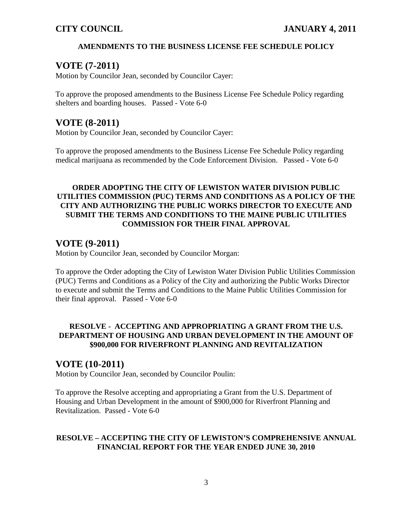## **AMENDMENTS TO THE BUSINESS LICENSE FEE SCHEDULE POLICY**

# **VOTE (7-2011)**

Motion by Councilor Jean, seconded by Councilor Cayer:

To approve the proposed amendments to the Business License Fee Schedule Policy regarding shelters and boarding houses. Passed - Vote 6-0

## **VOTE (8-2011)**

Motion by Councilor Jean, seconded by Councilor Cayer:

To approve the proposed amendments to the Business License Fee Schedule Policy regarding medical marijuana as recommended by the Code Enforcement Division. Passed - Vote 6-0

### **ORDER ADOPTING THE CITY OF LEWISTON WATER DIVISION PUBLIC UTILITIES COMMISSION (PUC) TERMS AND CONDITIONS AS A POLICY OF THE CITY AND AUTHORIZING THE PUBLIC WORKS DIRECTOR TO EXECUTE AND SUBMIT THE TERMS AND CONDITIONS TO THE MAINE PUBLIC UTILITIES COMMISSION FOR THEIR FINAL APPROVAL**

# **VOTE (9-2011)**

Motion by Councilor Jean, seconded by Councilor Morgan:

To approve the Order adopting the City of Lewiston Water Division Public Utilities Commission (PUC) Terms and Conditions as a Policy of the City and authorizing the Public Works Director to execute and submit the Terms and Conditions to the Maine Public Utilities Commission for their final approval. Passed - Vote 6-0

## **RESOLVE - ACCEPTING AND APPROPRIATING A GRANT FROM THE U.S. DEPARTMENT OF HOUSING AND URBAN DEVELOPMENT IN THE AMOUNT OF \$900,000 FOR RIVERFRONT PLANNING AND REVITALIZATION**

## **VOTE (10-2011)**

Motion by Councilor Jean, seconded by Councilor Poulin:

To approve the Resolve accepting and appropriating a Grant from the U.S. Department of Housing and Urban Development in the amount of \$900,000 for Riverfront Planning and Revitalization. Passed - Vote 6-0

## **RESOLVE – ACCEPTING THE CITY OF LEWISTON'S COMPREHENSIVE ANNUAL FINANCIAL REPORT FOR THE YEAR ENDED JUNE 30, 2010**